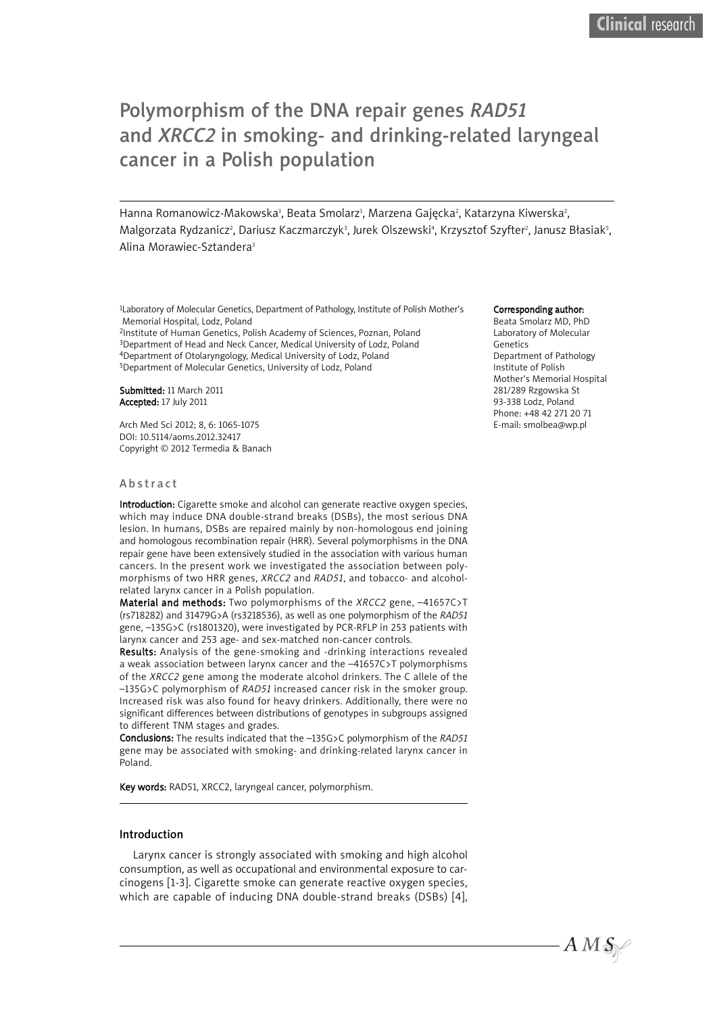# Polymorphism of the DNA repair genes *RAD51* and *XRCC2* in smoking- and drinking-related laryngeal cancer in a Polish population

Hanna Romanowicz-Makowska<sup>ı</sup>, Beata Smolarz<sup>ı</sup>, Marzena Gajęcka<sup>2</sup>, Katarzyna Kiwerska<sup>2</sup>, Malgorzata Rydzanicz², Dariusz Kaczmarczyk $^3$ , Jurek Olszewskiª, Krzysztof Szyfter², Janusz Błasiak $^5\!$ Alina Morawiec-Sztandera3

1Laboratory of Molecular Genetics, Department of Pathology, Institute of Polish Mother's Memorial Hospital, Lodz, Poland

2Institute of Human Genetics, Polish Academy of Sciences, Poznan, Poland 3Department of Head and Neck Cancer, Medical University of Lodz, Poland 4Department of Otolaryngology, Medical University of Lodz, Poland 5Department of Molecular Genetics, University of Lodz, Poland

Submitted: 11 March 2011 Accepted: 17 July 2011

Arch Med Sci 2012; 8, 6: 1065-1075 DOI: 10.5114/aoms.2012.32417 Copyright © 2012 Termedia & Banach

#### A b s tr a c t

Introduction: Cigarette smoke and alcohol can generate reactive oxygen species, which may induce DNA double-strand breaks (DSBs), the most serious DNA lesion. In humans, DSBs are repaired mainly by non-homologous end joining and homologous recombination repair (HRR). Several polymorphisms in the DNA repair gene have been extensively studied in the association with various human cancers. In the present work we investigated the association between polymorphisms of two HRR genes, *XRCC2* and *RAD51*, and tobacco- and alcoholrelated larynx cancer in a Polish population.

Material and methods: Two polymorphisms of the *XRCC2* gene, –41657C>T (rs718282) and 31479G>A (rs3218536), as well as one polymorphism of the *RAD51* gene, –135G>C (rs1801320), were investigated by PCR-RFLP in 253 patients with larynx cancer and 253 age- and sex-matched non-cancer controls.

Results: Analysis of the gene-smoking and -drinking interactions revealed a weak association between larynx cancer and the –41657C>T polymorphisms of the *XRCC2* gene among the moderate alcohol drinkers. The C allele of the –135G>C polymorphism of *RAD51* increased cancer risk in the smoker group. Increased risk was also found for heavy drinkers. Additionally, there were no significant differences between distributions of genotypes in subgroups assigned to different TNM stages and grades.

Conclusions: The results indicated that the –135G>C polymorphism of the *RAD51* gene may be associated with smoking- and drinking-related larynx cancer in Poland.

Key words: RAD51, XRCC2, laryngeal cancer, polymorphism.

#### Introduction

Larynx cancer is strongly associated with smoking and high alcohol consumption, as well as occupational and environmental exposure to carcinogens [1-3]. Cigarette smoke can generate reactive oxygen species, which are capable of inducing DNA double-strand breaks (DSBs) [4],

#### Corresponding author:

Beata Smolarz MD, PhD Laboratory of Molecular Genetics Department of Pathology Institute of Polish Mother's Memorial Hospital 281/289 Rzgowska St 93-338 Lodz, Poland Phone: +48 42 271 20 71 E-mail: smolbea@wp.pl

 $A\,M\,\mathcal{S}\,$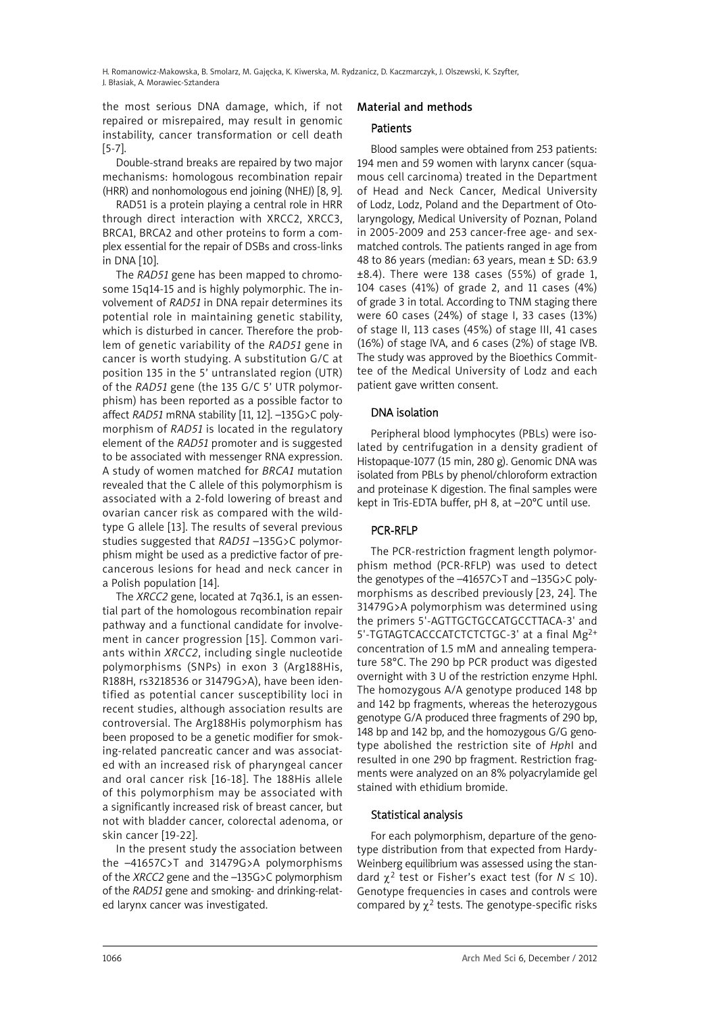H. Romanowicz-Makowska, B. Smolarz, M. Gajęcka, K. Kiwerska, M. Rydzanicz, D. Kaczmarczyk, J. Olszewski, K. Szyfter, J. Błasiak, A. Morawiec-Sztandera

the most serious DNA damage, which, if not repaired or misrepaired, may result in genomic instability, cancer transformation or cell death [5-7].

Double-strand breaks are repaired by two major mechanisms: homologous recombination repair (HRR) and nonhomologous end joining (NHEJ) [8, 9].

RAD51 is a protein playing a central role in HRR through direct interaction with XRCC2, XRCC3, BRCA1, BRCA2 and other proteins to form a complex essential for the repair of DSBs and cross-links in DNA [10].

The *RAD51* gene has been mapped to chromosome 15q14-15 and is highly polymorphic. The involvement of *RAD51* in DNA repair determines its potential role in maintaining genetic stability, which is disturbed in cancer. Therefore the problem of genetic variability of the *RAD51* gene in cancer is worth studying. A substitution G/C at position 135 in the 5' untranslated region (UTR) of the *RAD51* gene (the 135 G/C 5' UTR polymorphism) has been reported as a possible factor to affect *RAD51* mRNA stability [11, 12]. –135G>C polymorphism of *RAD51* is located in the regulatory element of the *RAD51* promoter and is suggested to be associated with messenger RNA expression. A study of women matched for *BRCA1* mutation revealed that the C allele of this polymorphism is associated with a 2-fold lowering of breast and ovarian cancer risk as compared with the wildtype G allele [13]. The results of several previous studies suggested that *RAD51* –135G>C polymorphism might be used as a predictive factor of precancerous lesions for head and neck cancer in a Polish population [14].

The *XRCC2* gene, located at 7q36.1, is an essential part of the homologous recombination repair pathway and a functional candidate for involvement in cancer progression [15]. Common variants within *XRCC2*, including single nucleotide polymorphisms (SNPs) in exon 3 (Arg188His, R188H, rs3218536 or 31479G>A), have been identified as potential cancer susceptibility loci in recent studies, although association results are controversial. The Arg188His polymorphism has been proposed to be a genetic modifier for smoking-related pancreatic cancer and was associated with an increased risk of pharyngeal cancer and oral cancer risk [16-18]. The 188His allele of this polymorphism may be associated with a significantly increased risk of breast cancer, but not with bladder cancer, colorectal adenoma, or skin cancer [19-22].

In the present study the association between the –41657C>T and 31479G>A polymorphisms of the *XRCC2* gene and the –135G>C polymorphism of the *RAD51* gene and smoking- and drinking-related larynx cancer was investigated.

### Material and methods

### **Patients**

Blood samples were obtained from 253 patients: 194 men and 59 women with larynx cancer (squamous cell carcinoma) treated in the Department of Head and Neck Cancer, Medical University of Lodz, Lodz, Poland and the Department of Otolaryngology, Medical University of Poznan, Poland in 2005-2009 and 253 cancer-free age- and sexmatched controls. The patients ranged in age from 48 to 86 years (median: 63 years, mean ± SD: 63.9 ±8.4). There were 138 cases (55%) of grade 1, 104 cases (41%) of grade 2, and 11 cases (4%) of grade 3 in total. According to TNM staging there were 60 cases (24%) of stage I, 33 cases (13%) of stage II, 113 cases (45%) of stage III, 41 cases (16%) of stage IVA, and 6 cases (2%) of stage IVB. The study was approved by the Bioethics Committee of the Medical University of Lodz and each patient gave written consent.

### DNA isolation

Peripheral blood lymphocytes (PBLs) were isolated by centrifugation in a density gradient of Histopaque-1077 (15 min, 280 g). Genomic DNA was isolated from PBLs by phenol/chloroform extraction and proteinase K digestion. The final samples were kept in Tris-EDTA buffer, pH 8, at –20°C until use.

## PCR-RFLP

The PCR-restriction fragment length polymorphism method (PCR-RFLP) was used to detect the genotypes of the –41657C>T and –135G>C polymorphisms as described previously [23, 24]. The 31479G>A polymorphism was determined using the primers 5'-AGTTGCTGCCATGCCTTACA-3' and 5'-TGTAGTCACCCATCTCTCTGC-3' at a final Mg<sup>2+</sup> concentration of 1.5 mM and annealing temperature 58°C. The 290 bp PCR product was digested overnight with 3 U of the restriction enzyme HphI. The homozygous A/A genotype produced 148 bp and 142 bp fragments, whereas the heterozygous genotype G/A produced three fragments of 290 bp, 148 bp and 142 bp, and the homozygous G/G genotype abolished the restriction site of *Hph*I and resulted in one 290 bp fragment. Restriction fragments were analyzed on an 8% polyacrylamide gel stained with ethidium bromide.

### Statistical analysis

For each polymorphism, departure of the genotype distribution from that expected from Hardy-Weinberg equilibrium was assessed using the standard  $\gamma^2$  test or Fisher's exact test (for  $N \leq 10$ ). Genotype frequencies in cases and controls were compared by  $\chi^2$  tests. The genotype-specific risks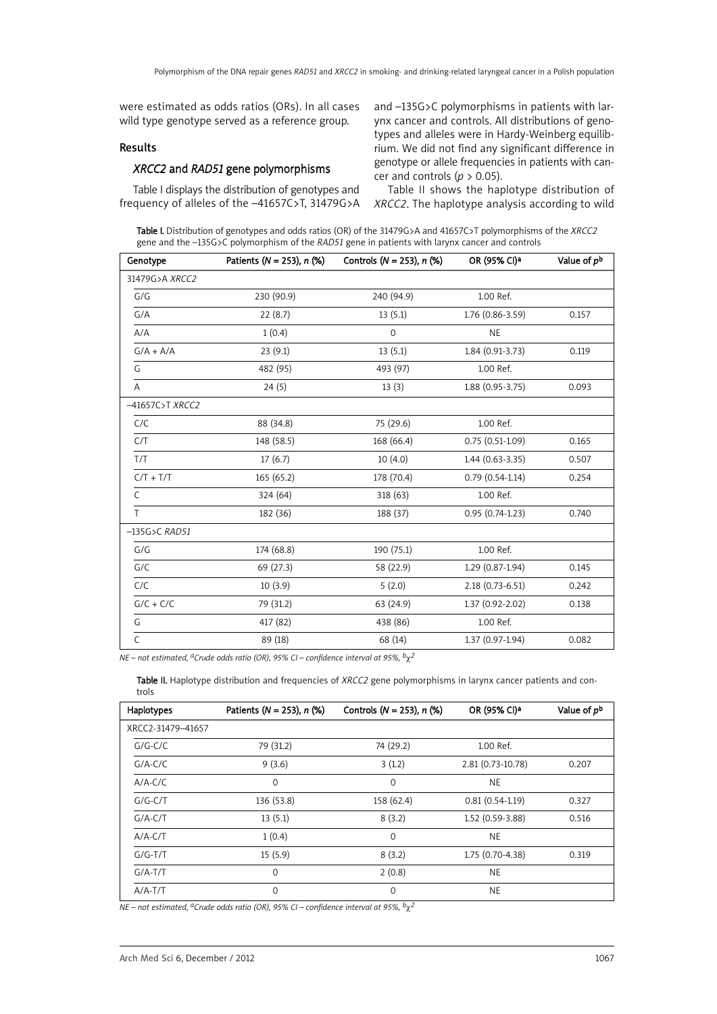were estimated as odds ratios (ORs). In all cases wild type genotype served as a reference group.

### Results

### *XRCC2* and *RAD51* gene polymorphisms

Table I displays the distribution of genotypes and frequency of alleles of the –41657C>T, 31479G>A and –135G>C polymorphisms in patients with larynx cancer and controls. All distributions of genotypes and alleles were in Hardy-Weinberg equilibrium. We did not find any significant difference in genotype or allele frequencies in patients with cancer and controls ( $p > 0.05$ ).

Table II shows the haplotype distribution of *XRCC2*. The haplotype analysis according to wild

Table I. Distribution of genotypes and odds ratios (OR) of the 31479G>A and 41657C>T polymorphisms of the *XRCC2* gene and the –135G>C polymorphism of the *RAD51* gene in patients with larynx cancer and controls

| Genotype                  | Patients ( $N = 253$ ), $n$ (%) | Controls ( $N = 253$ ), $n$ (%) | OR (95% CI)a      | Value of pb |
|---------------------------|---------------------------------|---------------------------------|-------------------|-------------|
| 31479G>A XRCC2            |                                 |                                 |                   |             |
| G/G                       | 230 (90.9)                      | 240 (94.9)                      | 1.00 Ref.         |             |
| G/A                       | 22(8.7)                         | 13(5.1)                         | 1.76 (0.86-3.59)  | 0.157       |
| A/A                       | 1(0.4)                          | $\mathbf 0$                     | NE                |             |
| $G/A + A/A$               | 23(9.1)                         | 13(5.1)                         | 1.84 (0.91-3.73)  | 0.119       |
| G                         | 482 (95)                        | 493 (97)                        | 1.00 Ref.         |             |
| Α                         | 24(5)                           | 13(3)                           | $1.88(0.95-3.75)$ | 0.093       |
| -41657C>T XRCC2           |                                 |                                 |                   |             |
| C/C                       | 88 (34.8)                       | 75 (29.6)                       | 1.00 Ref.         |             |
| C/T                       | 148 (58.5)                      | 168 (66.4)                      | $0.75(0.51-1.09)$ | 0.165       |
| T/T                       | 17(6.7)                         | 10(4.0)                         | 1.44 (0.63-3.35)  | 0.507       |
| $C/T + T/T$               | 165(65.2)                       | 178 (70.4)                      | $0.79(0.54-1.14)$ | 0.254       |
| $\mathsf{C}$              | 324 (64)                        | 318 (63)                        | 1.00 Ref.         |             |
| T                         | 182 (36)                        | 188 (37)                        | $0.95(0.74-1.23)$ | 0.740       |
| $-135G$ >C RAD51          |                                 |                                 |                   |             |
| G/G                       | 174 (68.8)                      | 190 (75.1)                      | 1.00 Ref.         |             |
| G/C                       | 69 (27.3)                       | 58 (22.9)                       | $1.29(0.87-1.94)$ | 0.145       |
| C/C                       | 10(3.9)                         | 5(2.0)                          | 2.18 (0.73-6.51)  | 0.242       |
| $G/C + C/C$               | 79 (31.2)                       | 63 (24.9)                       | 1.37 (0.92-2.02)  | 0.138       |
| G                         | 417 (82)                        | 438 (86)                        | 1.00 Ref.         |             |
| $\overline{\overline{c}}$ | 89 (18)                         | 68 (14)                         | 1.37 (0.97-1.94)  | 0.082       |

*NE – not estimated, aCrude odds ratio (OR), 95% CI – confidence interval at 95%, b*χ*2*

Table II. Haplotype distribution and frequencies of *XRCC2* gene polymorphisms in larynx cancer patients and controls

| Haplotypes        | Patients ( $N = 253$ ), $n$ (%) | Controls ( $N = 253$ ), $n$ (%) | OR (95% CI)a      | Value of p <sup>b</sup> |
|-------------------|---------------------------------|---------------------------------|-------------------|-------------------------|
| XRCC2-31479-41657 |                                 |                                 |                   |                         |
| $G/G-C/C$         | 79 (31.2)                       | 74 (29.2)                       | 1.00 Ref.         |                         |
| $G/A-C/C$         | 9(3.6)                          | 3(1.2)                          | 2.81 (0.73-10.78) | 0.207                   |
| $A/A-C/C$         | $\mathbf 0$                     | $\Omega$                        | <b>NE</b>         |                         |
| $G/G-C/T$         | 136 (53.8)                      | 158 (62.4)                      | $0.81(0.54-1.19)$ | 0.327                   |
| $G/A-C/T$         | 13(5.1)                         | 8(3.2)                          | 1.52 (0.59-3.88)  | 0.516                   |
| $A/A-C/T$         | 1(0.4)                          | $\Omega$                        | <b>NE</b>         |                         |
| $G/G-T/T$         | 15(5.9)                         | 8(3.2)                          | 1.75 (0.70-4.38)  | 0.319                   |
| $G/A-T/T$         | $\mathbf 0$                     | 2(0.8)                          | <b>NE</b>         |                         |
| $A/A-T/T$         | $\Omega$                        | $\Omega$                        | <b>NE</b>         |                         |

*NE – not estimated, aCrude odds ratio (OR), 95% CI – confidence interval at 95%, b*χ*2*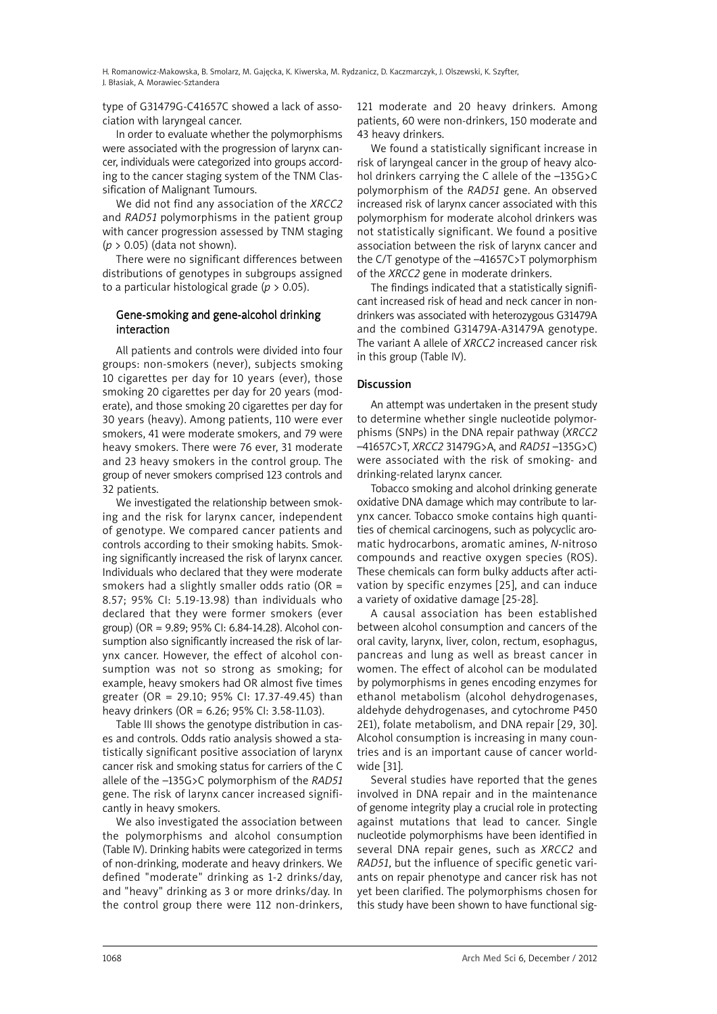H. Romanowicz-Makowska, B. Smolarz, M. Gajęcka, K. Kiwerska, M. Rydzanicz, D. Kaczmarczyk, J. Olszewski, K. Szyfter, J. Błasiak, A. Morawiec-Sztandera

type of G31479G-C41657C showed a lack of association with laryngeal cancer.

In order to evaluate whether the polymorphisms were associated with the progression of larynx cancer, individuals were categorized into groups according to the cancer staging system of the TNM Classification of Malignant Tumours.

We did not find any association of the *XRCC2* and *RAD51* polymorphisms in the patient group with cancer progression assessed by TNM staging (*p* > 0.05) (data not shown).

There were no significant differences between distributions of genotypes in subgroups assigned to a particular histological grade (*p* > 0.05).

### Gene-smoking and gene-alcohol drinking interaction

All patients and controls were divided into four groups: non-smokers (never), subjects smoking 10 cigarettes per day for 10 years (ever), those smoking 20 cigarettes per day for 20 years (moderate), and those smoking 20 cigarettes per day for 30 years (heavy). Among patients, 110 were ever smokers, 41 were moderate smokers, and 79 were heavy smokers. There were 76 ever, 31 moderate and 23 heavy smokers in the control group. The group of never smokers comprised 123 controls and 32 patients.

We investigated the relationship between smoking and the risk for larynx cancer, independent of genotype. We compared cancer patients and controls according to their smoking habits. Smoking significantly increased the risk of larynx cancer. Individuals who declared that they were moderate smokers had a slightly smaller odds ratio ( $OR =$ 8.57; 95% CI: 5.19-13.98) than individuals who declared that they were former smokers (ever group) (OR = 9.89; 95% CI: 6.84-14.28). Alcohol consumption also significantly increased the risk of larynx cancer. However, the effect of alcohol consumption was not so strong as smoking; for example, heavy smokers had OR almost five times greater (OR = 29.10; 95% CI: 17.37-49.45) than heavy drinkers (OR = 6.26; 95% CI: 3.58-11.03).

Table III shows the genotype distribution in cases and controls. Odds ratio analysis showed a statistically significant positive association of larynx cancer risk and smoking status for carriers of the C allele of the –135G>C polymorphism of the *RAD51* gene. The risk of larynx cancer increased significantly in heavy smokers.

We also investigated the association between the polymorphisms and alcohol consumption (Table IV). Drinking habits were categorized in terms of non-drinking, moderate and heavy drinkers. We defined "moderate" drinking as 1-2 drinks/day, and "heavy" drinking as 3 or more drinks/day. In the control group there were 112 non-drinkers, 121 moderate and 20 heavy drinkers. Among patients, 60 were non-drinkers, 150 moderate and 43 heavy drinkers.

We found a statistically significant increase in risk of laryngeal cancer in the group of heavy alcohol drinkers carrying the C allele of the –135G>C polymorphism of the *RAD51* gene. An observed increased risk of larynx cancer associated with this polymorphism for moderate alcohol drinkers was not statistically significant. We found a positive association between the risk of larynx cancer and the C/T genotype of the –41657C>T polymorphism of the *XRCC2* gene in moderate drinkers.

The findings indicated that a statistically significant increased risk of head and neck cancer in nondrinkers was associated with heterozygous G31479A and the combined G31479A-A31479A genotype. The variant A allele of *XRCC2* increased cancer risk in this group (Table IV).

### **Discussion**

An attempt was undertaken in the present study to determine whether single nucleotide polymorphisms (SNPs) in the DNA repair pathway (*XRCC2* –41657C>T, *XRCC2* 31479G>A, and *RAD51* –135G>C) were associated with the risk of smoking- and drinking-related larynx cancer.

Tobacco smoking and alcohol drinking generate oxidative DNA damage which may contribute to larynx cancer. Tobacco smoke contains high quantities of chemical carcinogens, such as polycyclic aromatic hydrocarbons, aromatic amines, *N*-nitroso compounds and reactive oxygen species (ROS). These chemicals can form bulky adducts after activation by specific enzymes [25], and can induce a variety of oxidative damage [25-28].

A causal association has been established between alcohol consumption and cancers of the oral cavity, larynx, liver, colon, rectum, esophagus, pancreas and lung as well as breast cancer in women. The effect of alcohol can be modulated by polymorphisms in genes encoding enzymes for ethanol metabolism (alcohol dehydrogenases, aldehyde dehydrogenases, and cytochrome P450 2E1), folate metabolism, and DNA repair [29, 30]. Alcohol consumption is increasing in many countries and is an important cause of cancer worldwide [31].

Several studies have reported that the genes involved in DNA repair and in the maintenance of genome integrity play a crucial role in protecting against mutations that lead to cancer. Single nucleotide polymorphisms have been identified in several DNA repair genes, such as *XRCC2* and *RAD51*, but the influence of specific genetic variants on repair phenotype and cancer risk has not yet been clarified. The polymorphisms chosen for this study have been shown to have functional sig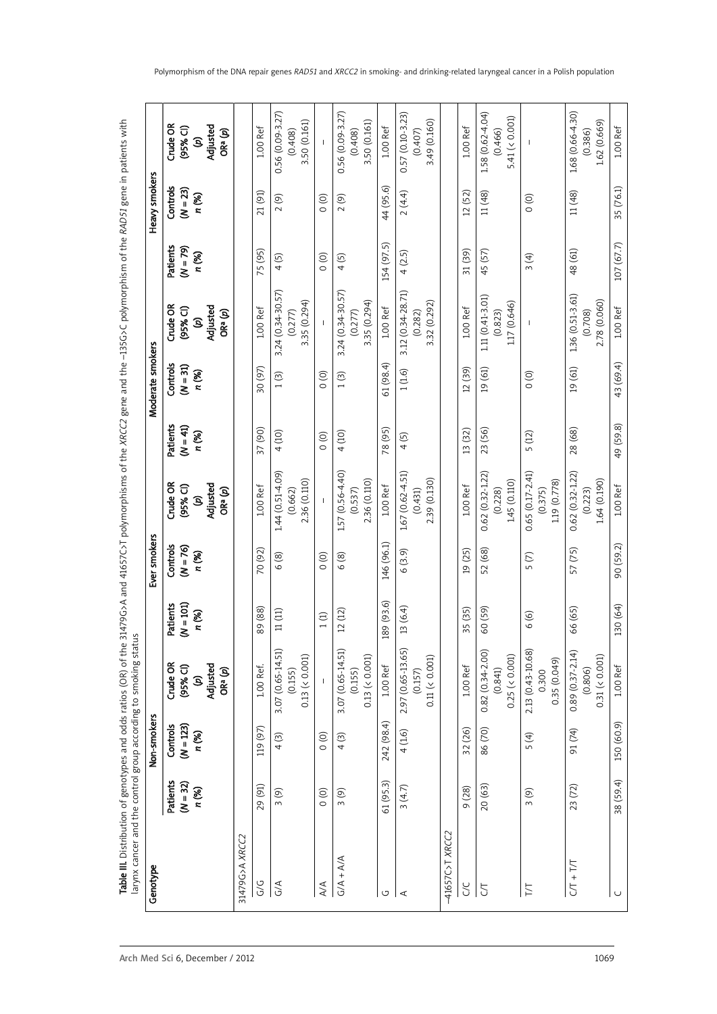T**able III.** Distribution of genotypes and odds ratios (OR) of the 31479G>A and 41657C>T polymorphisms of the ~135G>C polymorphism of the *RADS1* gene in patients with<br>larynx cancer and the control group according to smoki *D51* gene in patients with Table III. Distribution of genotypes and odds ratios (OR) of the 31479G>A and 41657C>T polymorphisms of the *XRCC2* gene and the –135G>C polymorphism of the *RA* larynx cancer and the control group according to smoking status

| Genotype        |                               | Non-smokers                      |                                                       |                                | Ever smokers                    |                                                    |                                 | Moderate smokers                |                                                    |                                 | Heavy smokers                   |                                                    |
|-----------------|-------------------------------|----------------------------------|-------------------------------------------------------|--------------------------------|---------------------------------|----------------------------------------------------|---------------------------------|---------------------------------|----------------------------------------------------|---------------------------------|---------------------------------|----------------------------------------------------|
|                 | Patients<br>(N = 32)<br>n (%) | Controls<br>$(N = 123)$<br>n (%) | Crude OR<br>Adjusted<br>$(95%$ CI)<br>ORª (p)<br>Q    | $(N=101)$<br>Patients<br>n (%) | Controls<br>$(N = 76)$<br>n (%) | Crude OR<br>Adjusted<br>$(95%$ CI)<br>ORª (p)<br>Q | Patients<br>$(N = 41)$<br>n (%) | Controls<br>$(N = 31)$<br>n (%) | Crude OR<br>Adjusted<br>$(95%$ CI)<br>ORª(p)<br>G) | Patients<br>$(N = 79)$<br>n (%) | Controls<br>$(N = 23)$<br>n (%) | Crude OR<br>Adjusted<br>$(95%$ CI)<br>ORª (p)<br>Q |
| 31479G>A XRCC2  |                               |                                  |                                                       |                                |                                 |                                                    |                                 |                                 |                                                    |                                 |                                 |                                                    |
| ს<br>ს          | 29 (91)                       | 119 (97)                         | 1.00 Ref.                                             | 89 (88)                        | 70 (92)                         | $1.00$ Ref                                         | 37 (90)                         | 30 (97)                         | $1.00$ Ref                                         | 75 (95)                         | 21 (91)                         | 1.00 Ref                                           |
| G/A             | 3(9)                          | 4(3)                             | 3.07 (0.65-14.51)<br>0.13 ( < 0.001)<br>(0.155)       | 11(11)                         | 6(8)                            | 1.44 (0.51-4.09)<br>2.36 (0.110)<br>(0.662)        | 4(10)                           | 1(3)                            | 3.24 (0.34-30.57)<br>3.35 (0.294)<br>(0.277)       | 4(5)                            | 2(9)                            | $0.56(0.09 - 3.27)$<br>3.50 (0.161)<br>(0.408)     |
| 4/4             | $\circ$                       | $\circ$                          |                                                       | 1(1)                           | $\circ$                         | $\overline{\phantom{a}}$                           | $\circ$                         | $\frac{1}{2}$                   | $\mathbf{I}$                                       | $\circ$                         | $\frac{1}{2}$                   |                                                    |
| $G/A + A/A$     | 3(9)                          | 4(3)                             | 3.07 (0.65-14.51)<br>$0.13$ (< $0.001$ )<br>(0.155)   | 12(12)                         | 6(8)                            | 1.57 (0.56-4.40)<br>2.36 (0.110)<br>(0.537)        | 4(10)                           | 1(3)                            | 3.24 (0.34-30.57)<br>3.35 (0.294)<br>(0.277)       | 4(5)                            | 2(9)                            | $0.56(0.09 - 3.27)$<br>3.50 (0.161)<br>(0.408)     |
| U               | 61 (95.3)                     | 242 (98.4)                       | $1.00$ Ref                                            | 189 (93.6)                     | 146 (96.1)                      | $1.00$ Ref                                         | 78 (95)                         | 61 (98.4)                       | $1.00$ Ref                                         | 154 (97.5)                      | 44 (95.6)                       | $1.00$ Ref                                         |
| $\prec$         | 3(4.7)                        | 4(1.6)                           | 2.97 (0.65-13.65)<br>0.11 ( 0.001)<br>(0.157)         | 13(6.4)                        | 6(3.9)                          | 1.67 (0.62-4.51)<br>2.39 (0.130)<br>(0.431)        | 4(5)                            | 1(1.6)                          | 3.12 (0.34-28.71)<br>3.32 (0.292)<br>(0.282)       | 4 (2.5)                         | 2(4.4)                          | $0.57(0.10-3.23)$<br>3.49 (0.160)<br>(0.407)       |
| -41657C>T XRCC2 |                               |                                  |                                                       |                                |                                 |                                                    |                                 |                                 |                                                    |                                 |                                 |                                                    |
| <b>SC</b>       | 9 (28)                        | 32 (26)                          | 1.00 Ref                                              | 35 (35)                        | 19 (25)                         | $1.00$ Ref                                         | 13 (32)                         | 12 (39)                         | $1.00$ Ref                                         | 31 (39)                         | 12 (52)                         | 1.00 Ref                                           |
| 5               | 20 (63)                       | 86 (70)                          | $0.82(0.34 - 2.00)$<br>$0.25$ (< $0.001$ )<br>(0.841) | 60 (59)                        | 52 (68)                         | $0.62(0.32 - 1.22)$<br>1.45 (0.110)<br>(0.228)     | 23 (56)                         | 19(61)                          | 1.11 (0.41-3.01)<br>1.17 (0.646)<br>(0.823)        | 45 (57)                         | 11(48)                          | 1.58 (0.62-4.04)<br>5.41 (< $0.001$ )<br>(0.466)   |
| T/T             | 3(9)                          | 5(4)                             | 2.13 (0.43-10.68)<br>0.35 (0.049)<br>0.300            | 6(6)                           | 5(7)                            | $0.65(0.17 - 2.41)$<br>1.19 (0.778)<br>(0.375)     | 5 (12)                          | $\circ$                         | J.                                                 | 3(4)                            | $\circ$                         | $\mathbf{I}$                                       |
| $CT + T$        | 23 (72)                       | 91 (74)                          | $0.89(0.37 - 2.14)$<br>0.31 ( 0.001)<br>(0.806)       | 66 (65)                        | 57 (75)                         | $0.62(0.32 - 1.22)$<br>1.64 (0.190)<br>(0.223)     | 28 (68)                         | 19 (61)                         | 1.36 (0.51-3.61)<br>2.78 (0.060)<br>(0.708)        | 48 (61)                         | 11 (48)                         | 1.68 (0.66-4.30)<br>1.62 (0.669)<br>(0.386)        |
| $\cup$          | 38 (59.4)                     | 150 (60.9)                       | 1.00 Ref                                              | 130 (64)                       | 90 (59.2)                       | 1.00 Ref                                           | 49 (59.8)                       | 43 (69.4)                       | 1.00 Ref                                           | 107 (67.7)                      | 35 (76.1)                       | 1.00 Ref                                           |

Polymorphism of the DNA repair genes *RAD51* and *XRCC2* in smoking- and drinking-related laryngeal cancer in a Polish population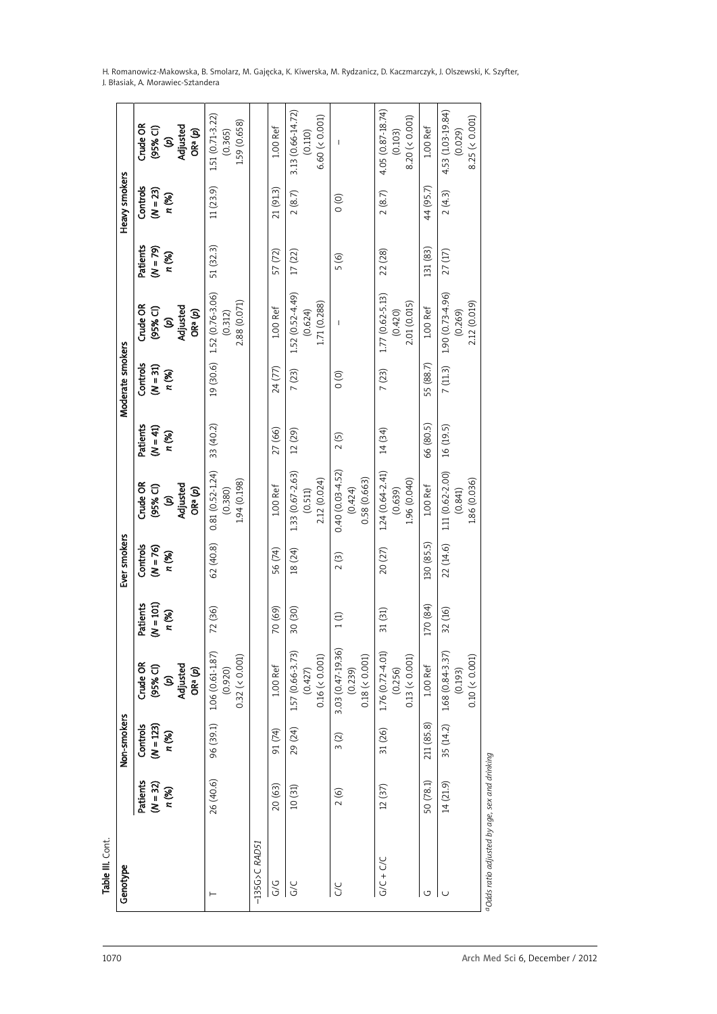| H. Romanowicz-Makowska, B. Smolarz, M. Gajęcka, K. Kiwerska, M. Rydzanicz, D. Kaczmarczyk, J. Olszewski, K. Szyfter, |  |
|----------------------------------------------------------------------------------------------------------------------|--|
| J. Błasiak, A. Morawiec-Sztandera                                                                                    |  |

| Table III. Cont.                              |                                 |                                  |                                                    |                                  |                                 |                                                |                                 |                                 |                                              |                                 |                                 |                                                |
|-----------------------------------------------|---------------------------------|----------------------------------|----------------------------------------------------|----------------------------------|---------------------------------|------------------------------------------------|---------------------------------|---------------------------------|----------------------------------------------|---------------------------------|---------------------------------|------------------------------------------------|
| Genotype                                      |                                 | Non-smokers                      |                                                    |                                  | Ever smokers                    |                                                |                                 | Moderate smokers                |                                              |                                 | Heavy smokers                   |                                                |
|                                               | Patients<br>$(N = 32)$<br>n (%) | Controls<br>$(N = 123)$<br>n (%) | Crude OR<br>$(95%$ CI)<br>S)                       | $(N = 101)$<br>Patients<br>n (%) | Controls<br>$(N = 76)$<br>n (%) | Crude OR<br>$(95%$ CI)<br>S                    | Patients<br>$(N = 41)$<br>n (%) | Controls<br>$(N = 31)$<br>n (%) | Crude OR<br>$(95%$ CI)<br>S)                 | Patients<br>$(N = 79)$<br>n (%) | Controls<br>$(N = 23)$<br>n (%) | Crude OR<br>$(95%$ CI)<br>Q                    |
|                                               |                                 |                                  | Adjusted<br>ORª (p)                                |                                  |                                 | Adjusted<br>ORª(p)                             |                                 |                                 | Adjusted<br>ORª(p)                           |                                 |                                 | Adjusted<br>ORª(p)                             |
|                                               | 26 (40.6)                       | 96 (39.1)                        | 1.06 (0.61-1.87)<br>$0.32$ (< $0.001$ )<br>(0.920) | 72 (36)                          | 62 (40.8)                       | $0.81(0.52 - 1.24)$<br>1.94 (0.198)<br>(0.380) | 33 (40.2)                       | 19 (30.6)                       | 1.52 (0.76-3.06)<br>2.88 (0.071)<br>(0.312)  | 51 (32.3)                       | 11(23.9)                        | 1.51 (0.71-3.22)<br>1.59 (0.658)<br>(0.365)    |
| $-135G$ >C RAD51                              |                                 |                                  |                                                    |                                  |                                 |                                                |                                 |                                 |                                              |                                 |                                 |                                                |
| 9)<br>G                                       | 20 (63)                         | 91 (74)                          | $1.00$ Ref                                         | 70 (69)                          | 56 (74)                         | $1.00$ Ref                                     | 27 (66)                         | 24 (77)                         | 1.00 Ref                                     | 57 (72)                         | 21 (91.3)                       | $1.00$ Ref                                     |
| <b>G/C</b>                                    | 10(31)                          | 29 (24)                          | 1.57 (0.66-3.73)<br>0.16 (< 0.001)<br>(0.427)      | 30 (30)                          | 18 (24)                         | 1.33 (0.67-2.63)<br>2.12 (0.024)<br>(0.511)    | 12 (29)                         | 7(23)                           | 152 (0.52-4.49)<br>1.71 (0.288)<br>(0.624)   | 17(22)                          | 2(8.7)                          | 3.13 (0.66-14.72)<br>6.60 (0.001)<br>(0.110)   |
| 20                                            | 2(6)                            | 3(2)                             | 3.03 (0.47-19.36)<br>$0.18$ (< 0.001)<br>(0.239)   | 1(1)                             | 2(3)                            | $0.40(0.03 - 4.52)$<br>0.58 (0.663)<br>(0.424) | 2(5)                            | $\frac{1}{2}$                   | I                                            | 5 (6)                           | $\circ$                         |                                                |
| $G/C + C/C$                                   | 12(37)                          | 31 (26)                          | 1.76 (0.72-4.01)<br>$0.13$ (< $0.001$ )<br>(0.256) | 31 (31)                          | 20 (27)                         | $1.24(0.64 - 2.41)$<br>1.96 (0.040)<br>(0.639) | 14 (34)                         | 7(23)                           | $1.77(0.62-5.13)$<br>2.01 (0.015)<br>(0.420) | 22 (28)                         | 2(8.7)                          | 4.05 (0.87-18.74)<br>8.20 (< 0.001)<br>(0.103) |
| U                                             | 50 (78.1)                       | 211 (85.8)                       | $1.00$ Ref                                         | 170 (84)                         | 130 (85.5)                      | $1.00$ Ref                                     | 66 (80.5)                       | 55 (88.7)                       | $1.00$ Ref                                   | 131 (83)                        | 44 (95.7)                       | 1.00 Ref                                       |
|                                               | 14 (21.9)                       | 35 (14.2)                        | 1.68 (0.84-3.37)<br>0.10 (< 0.001)<br>(0.193)      | 32 (16)                          | 22(14.6)                        | 1.11 (0.62-2.00)<br>1.86 (0.036)<br>(0.841)    | 16 (19.5)                       | 7(11.3)                         | $1.90(0.73-4.96)$<br>2.12 (0.019)<br>(0.269) | 27(17)                          | 2(4.3)                          | 4.53 (1.03-19.84)<br>8.25 (< 0.001)<br>(0.029) |
| aOdds ratio adjusted by age, sex and drinking |                                 |                                  |                                                    |                                  |                                 |                                                |                                 |                                 |                                              |                                 |                                 |                                                |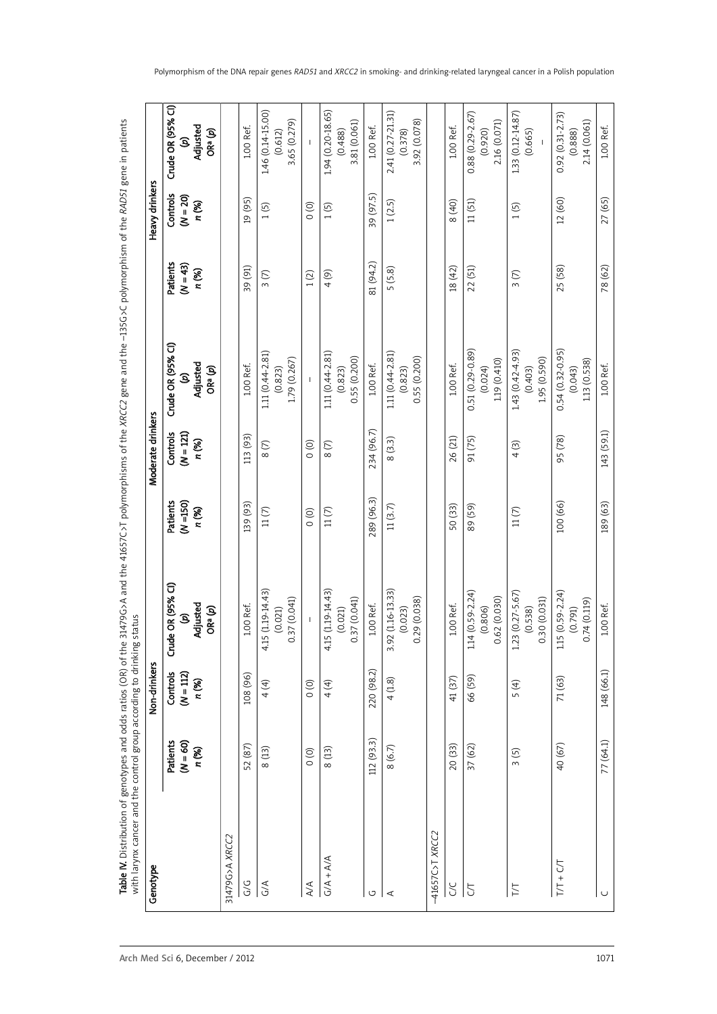Table W. Distribution of genotypes and odds ratios (OR) of the 31479G>A and the 41657C>T polymorphisms of the XACC2 gene and the -135G>C polymorphism of the RAD51 gene in patients<br>with larynx cancer and the control group a *D51* gene in patients Table IV. Distribution of genotypes and odds ratios (OR) of the 31479G>A and the 41657C>T polymorphisms of the *XRCC2* gene and the –135G>C polymorphism of the *RA* with larynx cancer and the control group according to drinking status

| Genotype                |                                 | Non-drinkers                     |                                                             |                                         | Moderate drinkers                |                                                |                                 | Heavy drinkers                  |                                                |
|-------------------------|---------------------------------|----------------------------------|-------------------------------------------------------------|-----------------------------------------|----------------------------------|------------------------------------------------|---------------------------------|---------------------------------|------------------------------------------------|
|                         | Patients<br>$(N = 60)$<br>n (%) | Controls<br>$(N = 112)$<br>n (%) | Crude OR (95% CI)<br>Adjusted<br>ORª (p)<br><u>ම</u>        | <b>Patients</b><br>$(N = 150)$<br>n (%) | Controls<br>$(N = 121)$<br>n (%) | Crude OR (95% CI)<br>Adjusted<br>ORª (p)<br>ê  | Patients<br>$(N = 43)$<br>n (%) | Controls<br>$(N = 20)$<br>n (%) | Crude OR (95% Cl)<br>Adjusted<br>ORª (p)<br>S  |
| 31479G>A XRCC2          |                                 |                                  |                                                             |                                         |                                  |                                                |                                 |                                 |                                                |
| G/G                     | 52 (87)                         | 108 (96)                         | 1.00 Ref.                                                   | 139 (93)                                | 113 (93)                         | 100 Ref.                                       | 39 (91)                         | 19 (95)                         | 100 Ref.                                       |
| G/A                     | 8(13)                           | 4 (4)                            | 15 (1.19-14.43)<br>0.37 (0.041)<br>(0.021)<br>$\frac{1}{4}$ | $11(7)$                                 | 8(7)                             | 1.11 (0.44-2.81)<br>1.79 (0.267)<br>(0.823)    | 3(7)                            | 1(5)                            | 1.46 (0.14-15.00)<br>3.65 (0.279)<br>(0.612)   |
| $\mathbb{A}/\mathbb{A}$ | $\circ$                         | $\circ$                          | $\mathsf I$                                                 | $\circ$                                 | $\circ$                          | $\mathsf I$                                    | 1(2)                            | $\circ$                         | $\begin{array}{c} \end{array}$                 |
| $G/A + A/A$             | 8 (13)                          | 4 (4)                            | 4.15 (1.19-14.43)<br>0.37 (0.041)<br>(0.021)                | $11(7)$                                 | 8(7)                             | 1.11 (0.44-2.81)<br>0.55 (0.200)<br>(0.823)    | 4(9)                            | 1(5)                            | 194 (0.20-18.65)<br>3.81 (0.061)<br>(0.488)    |
| U                       | 112 (93.3)                      | 220 (98.2)                       | 100 Ref.                                                    | 289 (96.3)                              | 234 (96.7)                       | 1.00 Ref.                                      | 81 (94.2)                       | 39 (97.5)                       | 100 Ref.                                       |
| ⋖                       | 8 (6.7)                         | 4(1.8)                           | 3.92 (1.16-13.33)<br>0.29 (0.038)<br>(0.023)                | 11(3.7)                                 | 8(3.3)                           | 1.11 (0.44-2.81)<br>0.55(0.200)<br>(0.823)     | 5(5.8)                          | 1(2.5)                          | 2.41 (0.27-21.31)<br>3.92 (0.078)<br>(0.378)   |
| -41657C>T XRCC2         |                                 |                                  |                                                             |                                         |                                  |                                                |                                 |                                 |                                                |
| <b>SC</b>               | 20 (33)                         | 41 (37)                          | 1.00 Ref.                                                   | 50 (33)                                 | 26 (21)                          | 100 Ref.                                       | 18 (42)                         | 8 (40)                          | 1.00 Ref.                                      |
| 5                       | 37 (62)                         | 66 (59)                          | $1.14(0.59 - 2.24)$<br>0.62 (0.030)<br>(0.806)              | 89 (59)                                 | 91 (75)                          | 0.51 (0.29-0.89)<br>1.19 (0.410)<br>(0.024)    | 22 (51)                         | 11(51)                          | $0.88(0.29 - 2.67)$<br>2.16 (0.071)<br>(0.920) |
| T/T                     | 3(5)                            | 5(4)                             | $1.23(0.27 - 5.67)$<br>0.30 (0.031)<br>(0.538)              | 11(7)                                   | 4(3)                             | 1.43 (0.42-4.93)<br>1.95 (0.590)<br>(0.403)    | 3(7)                            | (5)                             | 1.33 (0.12-14.87)<br>(0.665)                   |
| $T/T + C/T$             | 40 (67)                         | 71 (63)                          | $1.15(0.59 - 2.24)$<br>0.74(0.119)<br>(0.791)               | 100 (66)                                | 95 (78)                          | $0.54(0.32 - 0.95)$<br>1.13 (0.538)<br>(0.043) | 25 (58)                         | 12 (60)                         | $0.92(0.31 - 2.73)$<br>2.14 (0.061)<br>(0.888) |
| ں                       | 77 (64.1)                       | 148 (66.1)                       | 100 Ref.                                                    | 189 (63)                                | 143 (59.1)                       | 1.00 Ref.                                      | 78 (62)                         | 27 (65)                         | 1.00 Ref.                                      |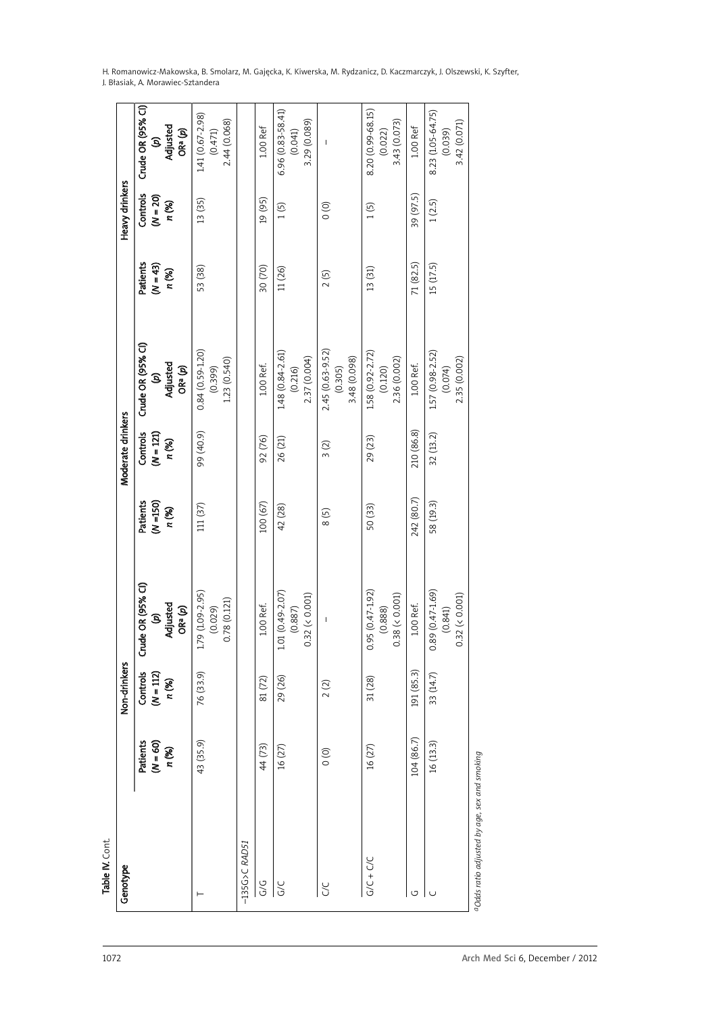| H. Romanowicz-Makowska, B. Smolarz, M. Gajęcka, K. Kiwerska, M. Rydzanicz, D. Kaczmarczyk, J. Olszewski, K. Szyfter, |  |
|----------------------------------------------------------------------------------------------------------------------|--|
| J. Błasiak. A. Morawiec-Sztandera                                                                                    |  |

Crude OR (95% CI) Patients Controls Crude OR (95% CI) Patients Controls Crude OR (95% CI) Patients Controls Crude OR (95% CI)  $6.96(0.83 - 58.41)$ 8.20 (0.99-68.15) 8.23 (1.05-64.75) G/C 16 (27) 29 (26) 1.01 (0.49-2.07) 42 (28) 26 (21) 1.48 (0.84-2.61) 11 (26) 1 (5) 6.96 (0.83-58.41) G/C + C/C 16 (27) 31 (27) 31 (27) 31 (37) 50 (37) 50 (37) 1.58 (37) 1.58 (27) 1.58 (31) 1.58 (31) 1.58 (31) 13<br>US-0-00-0020 1.58 (27) 12 (27-2.72) 12 (37) 12 (37) 13 (37) 13 (37) 13 (37) 13 (37) 13 (37) 13 (37) 13 (37) 13 16 (13.3) 33 (14.7) 0.89 (0.47-1.69) 58 (19.3) 32 (13.2) 1.57 (0.98-2.52) 15 (17.5) 1 (2.5) 8.23 (1.05-64.75) 1.41 (0.67-2.98) 03.72.90 1.79 (35.9) 1.79 (36.9) 12.9 (36.91.09-2.00 (371-0.50) 0.85.95 (38.91.20) 53 (36.7-2.95) 1.41 (38.91 (38.91 (38.91 0.59 (36.91 0.59 (36.97-2.98) 53 (36.97-2.98) 1.41 (36.97-2.98) 1.41 (38.91 0.59 (38.91 0.41 0.67- $(0.471)$ <br> $2.44(0.068)$ 3.42 (0.071) (p)<br>Adjusted 0.78 (0.1211) 2.44 (0.068) 2.23 (0.540) 2.23 (0.540) 2.44 (0.068) 3.29 (0.089) 0.32 (< 0.001) 2.37 (0.004) 3.29 (0.089) 3.43 (0.073) 0.38 (< 0.001) 2.36 (0.002) 3.43 (0.073) 1.00 Ref 0.32 (< 0.001) 2.35 (0.002) 3.42 (0.071) 1.00 Ref ORª (p)  $(0.041)$  $(0.022)$  $(0.039)$  (%) *n* (%) Adjusted *n* (%) *n* (%) Adjusted *n* (%) *n* (%) Adjusted G/G 44 (72) 81 (72) 92 Def. 31 (72) 92 Def. 31 (72) 12 (72) 12 (72) 12 (72) 12 (72) 12 (72) 12 Defe 104 (86.7) 191 (85.3) 1.00 Ref. 242 (80.7) 210 (86.8) 1.00 Ref. 71 (82.5) 39 (97.5) 1.00 Ref ORa (*p*) ORa (*p*) ORa (*p*) (1,020) (0.029) (0.029) (0.029) (0.029) (0.029) (0.029) (0.029) (0.029) (0.029) (0.029) (0.029) (0.029) (0.029  $(0.887)$  (0.087)  $(0.032)$  (0.022) (0.022) (0.01) (141) (0.074) (0.074) (0.074) (0.074) (0.074) (0.074) (0.075) (0.075) (0.075) (0.075) (0.075) (0.075) ( (*N* = 60) (*N* = 112) (*p*) (*N* =150) (*N* = 121) (*p*) (*N* = 43) (*N* = 20) (*p*)  $\overline{1}$ C/C 0 (0) 2 (2) – 8 (5) 3 (2) 2.45 (0.63-9.52) 2 (5) 0 (0) – Heavy drinkers Genotype Non-drinkers Moderate drinkers Heavy drinkers Controls 39 (97.5)  $(N = 20)$ 13 (35) 19 (95)  $1(2.5)$ n (%)  $1(5)$  $\circ$  $1(5)$ 71 (82.5) 15 (17.5) Patients<br>( $N = 43$ )<br>n (%) 53 (38) 30 (70) 11 (26) 13(31)  $2(5)$ Crude OR (95% CI)  $1.57(0.98-2.52)$ <br> $(0.074)$  $0.84(0.59 - 1.20)$ 2.45 (0.63-9.52) 1.58 (0.92-2.72) 1.48 (0.84-2.61)  $(0.399)$ <br> $1.23(0.540)$ 3.48 (0.098) 2.35 (0.002) (p)<br>Adjusted 2.37 (0.004) 2.36 (0.002) 3.48 (0.098) 100 Ref. 100 Ref. ORª (p)  $(0.216)$ (0.305)  $(0.120)$ Moderate drinkers Controls<br> $(N = 121)$ 210 (86.8) 99 (40.9) 32 (13.2) 92 (76) 29 (23) n (%) 26 (21)  $3(2)$ 242 (80.7) Patients<br>( $N = 150$ )<br> $n$  (%) 100 (67) 58 (19.3)  $111(37)$ 42 (28) 50 (33)  $8(5)$ Crude OR (95% CI) 1.79 (1.09-2.95) 1.01 (0.49-2.07)  $0.95(0.47 - 1.92)$  $0.89(0.47 - 1.69)$  $0.32$  (< 0.001)  $(0.029)$ <br> $0.78(0.121)$  $0.32~( < 0.001)$  $0.38 (< 0.001)$ (p)<br>Adjusted 100 Ref. 100 Ref. ORª (p)  $(0.888)$  $(0.841)$  $(0.887)$  $\overline{1}$ Non-drinkers  $\overline{\text{Contents}}$ <br>( $N = 112$ ) 76 (33.9) 191 (85.3) 33 (14.7)  $81\,(72)$ 29 (26) n (%)  $31(28)$  $2(2)$ 104 (86.7) Patients<br>( $N = 60$ )<br> $n$  (%)  $16(13.3)$ 43 (35.9) 44 (73)  $16(27)$  $16(27)$  $\circ$ Table **N.** Cont. 135G>C RAD51  $G/C + C/C$ –135G>C *RA* Genotype  $\frac{1}{2}$  $\overline{S}$ **C/C**  $\vdash$ G $\mathbf{C}$ 

aOdds ratio adjusted by age, sex and smoking *aOdds ratio adjusted by age, sex and smoking*

Table IV. Cont.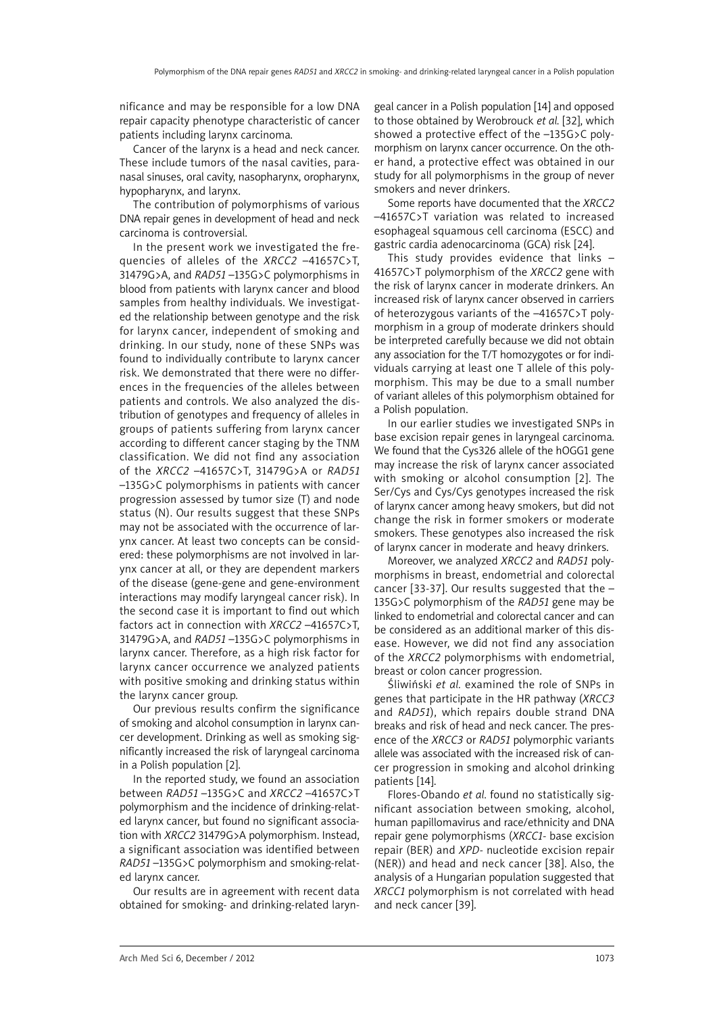nificance and may be responsible for a low DNA repair capacity phenotype characteristic of cancer patients including larynx carcinoma.

Cancer of the larynx is a head and neck cancer. These include tumors of the nasal cavities, paranasal sinuses, oral cavity, nasopharynx, oropharynx, hypopharynx, and larynx.

The contribution of polymorphisms of various DNA repair genes in development of head and neck carcinoma is controversial.

In the present work we investigated the frequencies of alleles of the *XRCC2* –41657C>T, 31479G>A, and *RAD51* –135G>C polymorphisms in blood from patients with larynx cancer and blood samples from healthy individuals. We investigated the relationship between genotype and the risk for larynx cancer, independent of smoking and drinking. In our study, none of these SNPs was found to individually contribute to larynx cancer risk. We demonstrated that there were no differences in the frequencies of the alleles between patients and controls. We also analyzed the distribution of genotypes and frequency of alleles in groups of patients suffering from larynx cancer according to different cancer staging by the TNM classification. We did not find any association of the *XRCC2* –41657C>T, 31479G>A or *RAD51* –135G>C polymorphisms in patients with cancer progression assessed by tumor size (T) and node status (N). Our results suggest that these SNPs may not be associated with the occurrence of larynx cancer. At least two concepts can be considered: these polymorphisms are not involved in larynx cancer at all, or they are dependent markers of the disease (gene-gene and gene-environment interactions may modify laryngeal cancer risk). In the second case it is important to find out which factors act in connection with *XRCC2* –41657C>T, 31479G>A, and *RAD51* –135G>C polymorphisms in larynx cancer. Therefore, as a high risk factor for larynx cancer occurrence we analyzed patients with positive smoking and drinking status within the larynx cancer group.

Our previous results confirm the significance of smoking and alcohol consumption in larynx cancer development. Drinking as well as smoking significantly increased the risk of laryngeal carcinoma in a Polish population [2].

In the reported study, we found an association between *RAD51* –135G>C and *XRCC2* –41657C>T polymorphism and the incidence of drinking-related larynx cancer, but found no significant association with *XRCC2* 31479G>A polymorphism. Instead, a significant association was identified between *RAD51* –135G>C polymorphism and smoking-related larynx cancer.

Our results are in agreement with recent data obtained for smoking- and drinking-related laryn-

geal cancer in a Polish population [14] and opposed to those obtained by Werobrouck *et al.* [32], which showed a protective effect of the –135G>C polymorphism on larynx cancer occurrence. On the other hand, a protective effect was obtained in our study for all polymorphisms in the group of never smokers and never drinkers.

Some reports have documented that the *XRCC2* –41657C>T variation was related to increased esophageal squamous cell carcinoma (ESCC) and gastric cardia adenocarcinoma (GCA) risk [24].

This study provides evidence that links – 41657C>T polymorphism of the *XRCC2* gene with the risk of larynx cancer in moderate drinkers. An increased risk of larynx cancer observed in carriers of heterozygous variants of the –41657C>T polymorphism in a group of moderate drinkers should be interpreted carefully because we did not obtain any association for the T/T homozygotes or for individuals carrying at least one T allele of this polymorphism. This may be due to a small number of variant alleles of this polymorphism obtained for a Polish population.

In our earlier studies we investigated SNPs in base excision repair genes in laryngeal carcinoma. We found that the Cys326 allele of the hOGG1 gene may increase the risk of larynx cancer associated with smoking or alcohol consumption [2]. The Ser/Cys and Cys/Cys genotypes increased the risk of larynx cancer among heavy smokers, but did not change the risk in former smokers or moderate smokers. These genotypes also increased the risk of larynx cancer in moderate and heavy drinkers.

Moreover, we analyzed *XRCC2* and *RAD51* polymorphisms in breast, endometrial and colorectal cancer [33-37]. Our results suggested that the – 135G>C polymorphism of the *RAD51* gene may be linked to endometrial and colorectal cancer and can be considered as an additional marker of this disease. However, we did not find any association of the *XRCC2* polymorphisms with endometrial, breast or colon cancer progression.

Śliwiński *et al.* examined the role of SNPs in genes that participate in the HR pathway (*XRCC3* and *RAD51*), which repairs double strand DNA breaks and risk of head and neck cancer. The presence of the *XRCC3* or *RAD51* polymorphic variants allele was associated with the increased risk of cancer progression in smoking and alcohol drinking patients [14].

Flores-Obando *et al.* found no statistically significant association between smoking, alcohol, human papillomavirus and race/ethnicity and DNA repair gene polymorphisms (*XRCC1-* base excision repair (BER) and *XPD-* nucleotide excision repair (NER)) and head and neck cancer [38]. Also, the analysis of a Hungarian population suggested that *XRCC1* polymorphism is not correlated with head and neck cancer [39].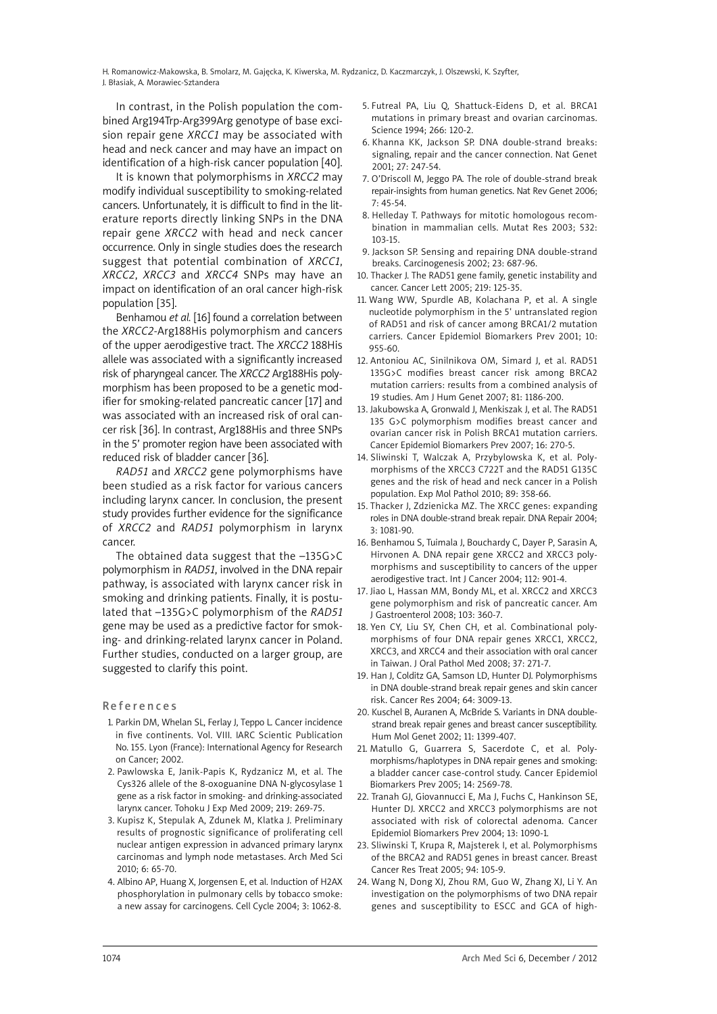H. Romanowicz-Makowska, B. Smolarz, M. Gajęcka, K. Kiwerska, M. Rydzanicz, D. Kaczmarczyk, J. Olszewski, K. Szyfter, J. Błasiak, A. Morawiec-Sztandera

In contrast, in the Polish population the combined Arg194Trp-Arg399Arg genotype of base excision repair gene *XRCC1* may be associated with head and neck cancer and may have an impact on identification of a high-risk cancer population [40].

It is known that polymorphisms in *XRCC2* may modify individual susceptibility to smoking-related cancers. Unfortunately, it is difficult to find in the literature reports directly linking SNPs in the DNA repair gene *XRCC2* with head and neck cancer occurrence. Only in single studies does the research suggest that potential combination of *XRCC1*, *XRCC2*, *XRCC3* and *XRCC4* SNPs may have an impact on identification of an oral cancer high-risk population [35].

Benhamou *et al.* [16] found a correlation between the *XRCC2*-Arg188His polymorphism and cancers of the upper aerodigestive tract. The *XRCC2* 188His allele was associated with a significantly increased risk of pharyngeal cancer. The *XRCC2* Arg188His polymorphism has been proposed to be a genetic modifier for smoking-related pancreatic cancer [17] and was associated with an increased risk of oral cancer risk [36]. In contrast, Arg188His and three SNPs in the 5' promoter region have been associated with reduced risk of bladder cancer [36].

*RAD51* and *XRCC2* gene polymorphisms have been studied as a risk factor for various cancers including larynx cancer. In conclusion, the present study provides further evidence for the significance of *XRCC2* and *RAD51* polymorphism in larynx cancer.

The obtained data suggest that the –135G>C polymorphism in *RAD51*, involved in the DNA repair pathway, is associated with larynx cancer risk in smoking and drinking patients. Finally, it is postulated that –135G>C polymorphism of the *RAD51* gene may be used as a predictive factor for smoking- and drinking-related larynx cancer in Poland. Further studies, conducted on a larger group, are suggested to clarify this point.

#### **References**

- 1. Parkin DM, Whelan SL, Ferlay J, Teppo L. Cancer incidence in five continents. Vol. VIII. IARC Scientic Publication No. 155. Lyon (France): International Agency for Research on Cancer; 2002.
- 2. Pawlowska E, Janik-Papis K, Rydzanicz M, et al. The Cys326 allele of the 8-oxoguanine DNA N-glycosylase 1 gene as a risk factor in smoking- and drinking-associated larynx cancer. Tohoku J Exp Med 2009; 219: 269-75.
- 3. Kupisz K, Stepulak A, Zdunek M, Klatka J. Preliminary results of prognostic significance of proliferating cell nuclear antigen expression in advanced primary larynx carcinomas and lymph node metastases. Arch Med Sci 2010; 6: 65-70.
- 4. Albino AP, Huang X, Jorgensen E, et al. Induction of H2AX phosphorylation in pulmonary cells by tobacco smoke: a new assay for carcinogens. Cell Cycle 2004; 3: 1062-8.
- 5. Futreal PA, Liu Q, Shattuck-Eidens D, et al. BRCA1 mutations in primary breast and ovarian carcinomas. Science 1994; 266: 120-2.
- 6. Khanna KK, Jackson SP. DNA double-strand breaks: signaling, repair and the cancer connection. Nat Genet 2001; 27: 247-54.
- 7. O'Driscoll M, Jeggo PA. The role of double-strand break repair-insights from human genetics. Nat Rev Genet 2006; 7: 45-54.
- 8. Helleday T. Pathways for mitotic homologous recombination in mammalian cells. Mutat Res 2003; 532: 103-15.
- 9. Jackson SP. Sensing and repairing DNA double-strand breaks. Carcinogenesis 2002; 23: 687-96.
- 10. Thacker J. The RAD51 gene family, genetic instability and cancer. Cancer Lett 2005; 219: 125-35.
- 11. Wang WW, Spurdle AB, Kolachana P, et al. A single nucleotide polymorphism in the 5' untranslated region of RAD51 and risk of cancer among BRCA1/2 mutation carriers. Cancer Epidemiol Biomarkers Prev 2001; 10: 955-60.
- 12. Antoniou AC, Sinilnikova OM, Simard J, et al. RAD51 135G>C modifies breast cancer risk among BRCA2 mutation carriers: results from a combined analysis of 19 studies. Am J Hum Genet 2007; 81: 1186-200.
- 13. Jakubowska A, Gronwald J, Menkiszak J, et al. The RAD51 135 G>C polymorphism modifies breast cancer and ovarian cancer risk in Polish BRCA1 mutation carriers. Cancer Epidemiol Biomarkers Prev 2007; 16: 270-5.
- 14. Sliwinski T, Walczak A, Przybylowska K, et al. Polymorphisms of the XRCC3 C722T and the RAD51 G135C genes and the risk of head and neck cancer in a Polish population. Exp Mol Pathol 2010; 89: 358-66.
- 15. Thacker J, Zdzienicka MZ. The XRCC genes: expanding roles in DNA double-strand break repair. DNA Repair 2004; 3: 1081-90.
- 16. Benhamou S, Tuimala J, Bouchardy C, Dayer P, Sarasin A, Hirvonen A. DNA repair gene XRCC2 and XRCC3 polymorphisms and susceptibility to cancers of the upper aerodigestive tract. Int J Cancer 2004; 112: 901-4.
- 17. Jiao L, Hassan MM, Bondy ML, et al. XRCC2 and XRCC3 gene polymorphism and risk of pancreatic cancer. Am J Gastroenterol 2008; 103: 360-7.
- 18. Yen CY, Liu SY, Chen CH, et al. Combinational polymorphisms of four DNA repair genes XRCC1, XRCC2, XRCC3, and XRCC4 and their association with oral cancer in Taiwan. J Oral Pathol Med 2008; 37: 271-7.
- 19. Han J, Colditz GA, Samson LD, Hunter DJ. Polymorphisms in DNA double-strand break repair genes and skin cancer risk. Cancer Res 2004; 64: 3009-13.
- 20. Kuschel B, Auranen A, McBride S. Variants in DNA doublestrand break repair genes and breast cancer susceptibility. Hum Mol Genet 2002; 11: 1399-407.
- 21. Matullo G, Guarrera S, Sacerdote C, et al. Polymorphisms/haplotypes in DNA repair genes and smoking: a bladder cancer case-control study. Cancer Epidemiol Biomarkers Prev 2005; 14: 2569-78.
- 22. Tranah GJ, Giovannucci E, Ma J, Fuchs C, Hankinson SE, Hunter DJ. XRCC2 and XRCC3 polymorphisms are not associated with risk of colorectal adenoma. Cancer Epidemiol Biomarkers Prev 2004; 13: 1090-1.
- 23. Sliwinski T, Krupa R, Majsterek I, et al. Polymorphisms of the BRCA2 and RAD51 genes in breast cancer. Breast Cancer Res Treat 2005; 94: 105-9.
- 24. Wang N, Dong XJ, Zhou RM, Guo W, Zhang XJ, Li Y. An investigation on the polymorphisms of two DNA repair genes and susceptibility to ESCC and GCA of high-